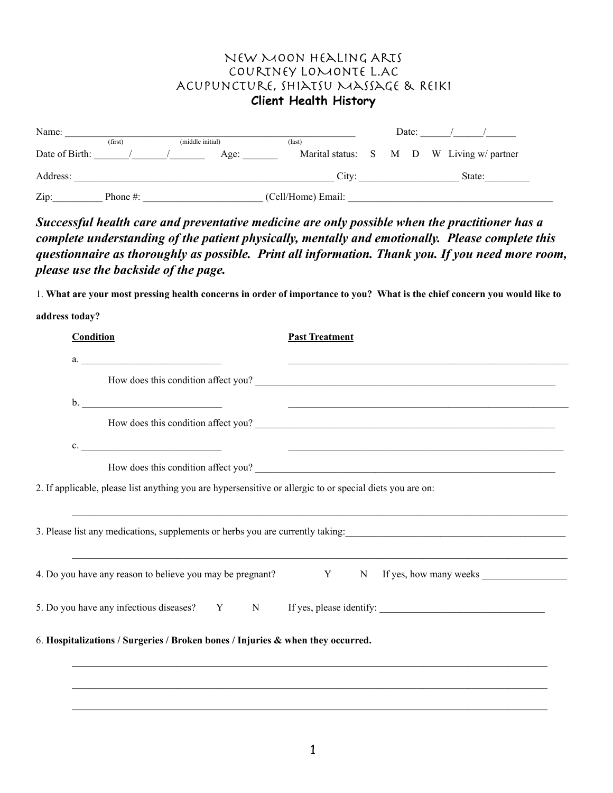## New Moon Healing Arts Courtney LoMonte L.AC Acupuncture, Shiatsu Massage & Reiki **Client Health History**

| Name:          |             |                  |                    |  | Date: |  |  |                                           |  |
|----------------|-------------|------------------|--------------------|--|-------|--|--|-------------------------------------------|--|
|                | (first)     | (middle initial) | (last)             |  |       |  |  |                                           |  |
| Date of Birth: |             | Age:             |                    |  |       |  |  | Marital status: S M D W Living w/ partner |  |
| Address:       |             |                  | City:              |  |       |  |  | State:                                    |  |
| Zip:           | Phone $#$ : |                  | (Cell/Home) Email: |  |       |  |  |                                           |  |

*Successful health care and preventative medicine are only possible when the practitioner has a complete understanding of the patient physically, mentally and emotionally. Please complete this questionnaire as thoroughly as possible. Print all information. Thank you. If you need more room, please use the backside of the page.* 

1. **What are your most pressing health concerns in order of importance to you? What is the chief concern you would like to** 

| address today? |  |
|----------------|--|
|                |  |

| <b>Condition</b> | <b>Past Treatment</b>                                                                                                                                                                  |  |
|------------------|----------------------------------------------------------------------------------------------------------------------------------------------------------------------------------------|--|
|                  |                                                                                                                                                                                        |  |
|                  | How does this condition affect you?                                                                                                                                                    |  |
|                  |                                                                                                                                                                                        |  |
|                  | How does this condition affect you?                                                                                                                                                    |  |
|                  | c.                                                                                                                                                                                     |  |
|                  | How does this condition affect you?                                                                                                                                                    |  |
|                  | 2. If applicable, please list anything you are hypersensitive or allergic to or special diets you are on:                                                                              |  |
|                  |                                                                                                                                                                                        |  |
|                  |                                                                                                                                                                                        |  |
|                  | 3. Please list any medications, supplements or herbs you are currently taking:<br>4. Do you have any reason to believe you may be pregnant? Y N If yes, how many weeks _______________ |  |
|                  | 5. Do you have any infectious diseases? Y N If yes, please identify:                                                                                                                   |  |
|                  | 6. Hospitalizations / Surgeries / Broken bones / Injuries & when they occurred.                                                                                                        |  |
|                  | ,我们也不能在这里的人,我们也不能在这里的人,我们也不能在这里的人,我们也不能在这里的人,我们也不能在这里的人,我们也不能在这里的人,我们也不能在这里的人,我们也                                                                                                      |  |
|                  | ,我们也不能在这里的人,我们也不能在这里的人,我们也不能在这里的人,我们也不能在这里的人,我们也不能在这里的人,我们也不能在这里的人,我们也不能在这里的人,我们也                                                                                                      |  |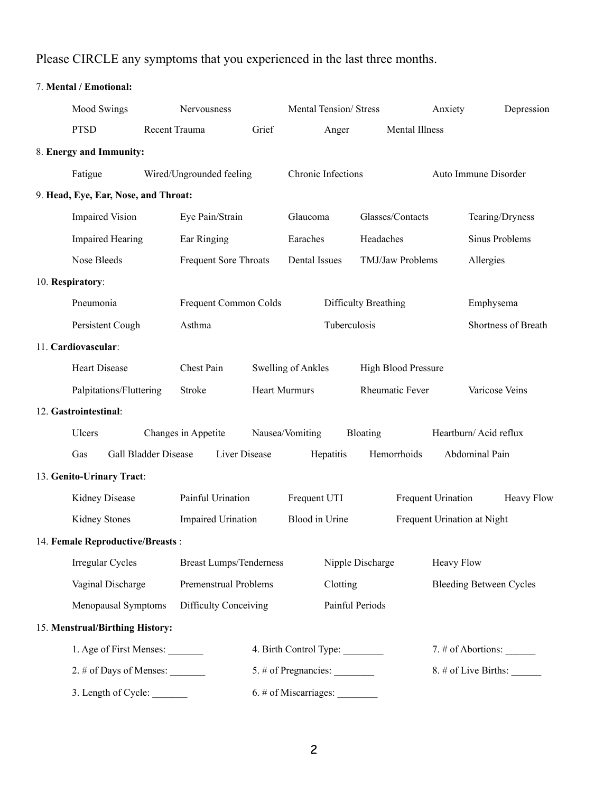## Please CIRCLE any symptoms that you experienced in the last three months.

| 7. Mental / Emotional:               |  |                                |       |                                         |                     |                       |                                |  |
|--------------------------------------|--|--------------------------------|-------|-----------------------------------------|---------------------|-----------------------|--------------------------------|--|
| <b>Mood Swings</b>                   |  | Nervousness                    |       | <b>Mental Tension/ Stress</b>           |                     | Anxiety               | Depression                     |  |
| <b>PTSD</b>                          |  | Recent Trauma                  | Grief | Anger                                   |                     | <b>Mental Illness</b> |                                |  |
| 8. Energy and Immunity:              |  |                                |       |                                         |                     |                       |                                |  |
| Fatigue                              |  | Wired/Ungrounded feeling       |       | Chronic Infections                      |                     |                       | Auto Immune Disorder           |  |
| 9. Head, Eye, Ear, Nose, and Throat: |  |                                |       |                                         |                     |                       |                                |  |
| <b>Impaired Vision</b>               |  | Eye Pain/Strain                |       | Glaucoma                                | Glasses/Contacts    |                       | Tearing/Dryness                |  |
| <b>Impaired Hearing</b>              |  | Ear Ringing                    |       | Earaches                                | Headaches           |                       | Sinus Problems                 |  |
| Nose Bleeds                          |  | Frequent Sore Throats          |       | Dental Issues                           | TMJ/Jaw Problems    |                       | Allergies                      |  |
| 10. Respiratory:                     |  |                                |       |                                         |                     |                       |                                |  |
| Pneumonia                            |  | Frequent Common Colds          |       | Difficulty Breathing                    |                     |                       | Emphysema                      |  |
| Persistent Cough                     |  | Asthma                         |       | Tuberculosis                            |                     |                       | Shortness of Breath            |  |
| 11. Cardiovascular:                  |  |                                |       |                                         |                     |                       |                                |  |
| <b>Heart Disease</b>                 |  | Chest Pain                     |       | <b>Swelling of Ankles</b>               | High Blood Pressure |                       |                                |  |
| Palpitations/Fluttering              |  | Stroke                         |       | <b>Heart Murmurs</b>                    | Rheumatic Fever     |                       | Varicose Veins                 |  |
| 12. Gastrointestinal:                |  |                                |       |                                         |                     |                       |                                |  |
| Ulcers                               |  | Changes in Appetite            |       | Nausea/Vomiting                         | Bloating            |                       | Heartburn/Acid reflux          |  |
| <b>Gall Bladder Disease</b><br>Gas   |  | Liver Disease                  |       | Hepatitis                               | Hemorrhoids         |                       | Abdominal Pain                 |  |
| 13. Genito-Urinary Tract:            |  |                                |       |                                         |                     |                       |                                |  |
| Kidney Disease                       |  | Painful Urination              |       | Frequent UTI                            |                     | Frequent Urination    | <b>Heavy Flow</b>              |  |
| Kidney Stones                        |  | <b>Impaired Urination</b>      |       | Blood in Urine                          |                     |                       | Frequent Urination at Night    |  |
| 14. Female Reproductive/Breasts:     |  |                                |       |                                         |                     |                       |                                |  |
| Irregular Cycles                     |  | <b>Breast Lumps/Tenderness</b> |       |                                         | Nipple Discharge    | Heavy Flow            |                                |  |
| Vaginal Discharge                    |  | Premenstrual Problems          |       | Clotting                                |                     |                       | <b>Bleeding Between Cycles</b> |  |
| Menopausal Symptoms                  |  | <b>Difficulty Conceiving</b>   |       |                                         | Painful Periods     |                       |                                |  |
| 15. Menstrual/Birthing History:      |  |                                |       |                                         |                     |                       |                                |  |
| 1. Age of First Menses:              |  |                                |       | 4. Birth Control Type:                  |                     |                       |                                |  |
| 2. # of Days of Menses: ________     |  |                                |       | $5.$ # of Pregnancies: $\_\_$           |                     |                       | 8. # of Live Births:           |  |
| 3. Length of Cycle:                  |  |                                |       | $6.$ # of Miscarriages: $\qquad \qquad$ |                     |                       |                                |  |